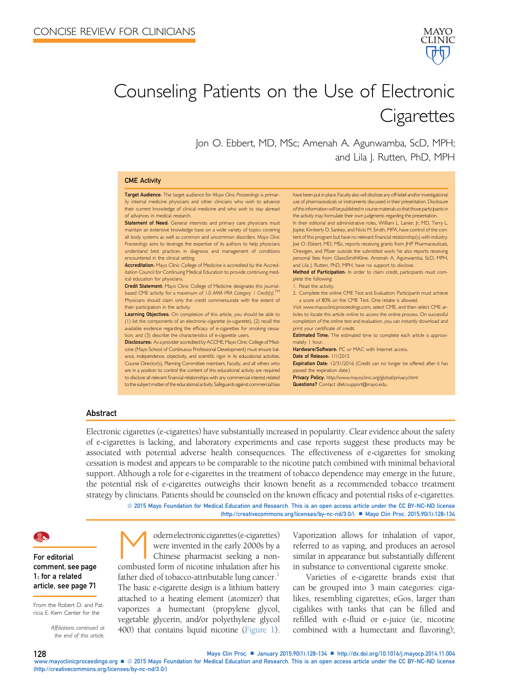

# Counseling Patients on the Use of Electronic **Cigarettes**

Jon O. Ebbert, MD, MSc; Amenah A. Agunwamba, ScD, MPH; and Lila J. Rutten, PhD, MPH

#### CME Activity

Target Audience: The target audience for Mayo Clinic Proceedings is primarily internal medicine physicians and other clinicians who wish to advance their current knowledge of clinical medicine and who wish to stay abreast of advances in medical research.

Statement of Need: General internists and primary care physicians must maintain an extensive knowledge base on a wide variety of topics covering all body systems as well as common and uncommon disorders. Mayo Clinic Proceedings aims to leverage the expertise of its authors to help physicians understand best practices in diagnosis and management of conditions encountered in the clinical setting.

Accreditation: Mayo Clinic College of Medicine is accredited by the Accreditation Council for Continuing Medical Education to provide continuing medical education for physicians.

Credit Statement: Mayo Clinic College of Medicine designates this journalbased CME activity for a maximum of 1.0 AMA PRA Category 1 Credit(s).<sup>TM</sup> Physicians should claim only the credit commensurate with the extent of their participation in the activity.

Learning Objectives: On completion of this article, you should be able to (1) list the components of an electronic-cigarette (e-cigarette), (2) recall the available evidence regarding the efficacy of e-cigarettes for smoking cessation, and (3) describe the characteristics of e-cigarette users.

Disclosures: As a provider accredited by ACCME, Mayo Clinic College of Medicine (Mayo School of Continuous Professional Development) must ensure balance, independence, objectivity, and scientific rigor in its educational activities. Course Director(s), Planning Committee members, Faculty, and all others who are in a position to control the content of this educational activity are required to disclose all relevant financial relationships with any commercial interest related to the subject matter of the educational activity. Safeguards against commercial bias

have been put in place. Faculty also will disclose any off-label and/or investigational use of pharmaceuticals or instruments discussed in their presentation. Disclosure of this information will be published in course materials sothatthose participants in the activity may formulate their own judgments regarding the presentation.

In their editorial and administrative roles, William L. Lanier, Jr, MD, Terry L. Jopke, Kimberly D. Sankey, and Nicki M. Smith, MPA, have control of the content of this program but have no relevant financial relationship(s) with industry. Joe O. Ebbert, MD, MSc, reports receiving grants from JHP Pharmaceuticals, Orexigen, and Pfizer outside the submitted work; he also reports receiving personal fees from GlaxoSmithKline. Amenah A. Agunwamba, ScD, MPH, and Lila J. Rutten, PhD, MPH, have no support to disclose.

Method of Participation: In order to claim credit, participants must complete the following:

1. Read the activity.

2. Complete the online CME Test and Evaluation. Participants must achieve a score of 80% on the CME Test. One retake is allowed.

Visit [www.mayoclinicproceedings.com](http://www.mayoclinicproceedings.com), select CME, and then select CME articles to locate this article online to access the online process. On successful completion of the online test and evaluation, you can instantly download and print your certificate of credit.

Estimated Time: The estimated time to complete each article is approximately 1 hour.

Hardware/Software: PC or MAC with Internet access.

Date of Release: 1/1/2015

Expiration Date: 12/31/2016 (Credit can no longer be offered after it has passed the expiration date.)

Privacy Policy: <http://www.mayoclinic.org/global/privacy.html> Questions? Contact dletcsupport@mayo.edu

## Abstract

Electronic cigarettes (e-cigarettes) have substantially increased in popularity. Clear evidence about the safety of e-cigarettes is lacking, and laboratory experiments and case reports suggest these products may be associated with potential adverse health consequences. The effectiveness of e-cigarettes for smoking cessation is modest and appears to be comparable to the nicotine patch combined with minimal behavioral support. Although a role for e-cigarettes in the treatment of tobacco dependence may emerge in the future, the potential risk of e-cigarettes outweighs their known benefit as a recommended tobacco treatment strategy by clinicians. Patients should be counseled on the known efficacy and potential risks of e-cigarettes.

ª 2015 Mayo Foundation for Medical Education and Research. This is an open access article under the CC BY-NC-ND license (http://creativecommons.org/licenses/by-nc-nd/3.0/). ■ Mayo Clin Proc. 2015;90(1):128-134



## For editorial comment, see page 1; for a related article, see page 71

From the Robert D. and Patricia E. Kern Center for the

> Affiliations continued at the end of this article.

Modernelectronic cigarettes (e-cigarettes)<br>were invented in the early 2000s by a<br>chinese pharmacist seeking a non-<br>combusted form of nicotine inhalation after his were invented in the early 2000s by a Chinese pharmacist seeking a non-father died of tobacco-attributable lung cancer.<sup>[1](#page-5-0)</sup> The basic e-cigarette design is a lithium battery attached to a heating element (atomizer) that vaporizes a humectant (propylene glycol, vegetable glycerin, and/or polyethylene glycol 400) that contains liquid nicotine ([Figure 1\)](#page-1-0).

Vaporization allows for inhalation of vapor, referred to as vaping, and produces an aerosol similar in appearance but substantially different in substance to conventional cigarette smoke.

Varieties of e-cigarette brands exist that can be grouped into 3 main categories: cigalikes, resembling cigarettes; eGos, larger than cigalikes with tanks that can be filled and refilled with e-fluid or e-juice (ie, nicotine combined with a humectant and flavoring);

128 Mayo Clin Proc. ■ January 2015;90(1):128-134 ■ <http://dx.doi.org/10.1016/j.mayocp.2014.11.004> [www.mayoclinicproceedings.org](http://www.mayoclinicproceedings.org)  $\blacksquare$  2015 Mayo Foundation for Medical Education and Research. This is an open access article under the CC BY-NC-ND license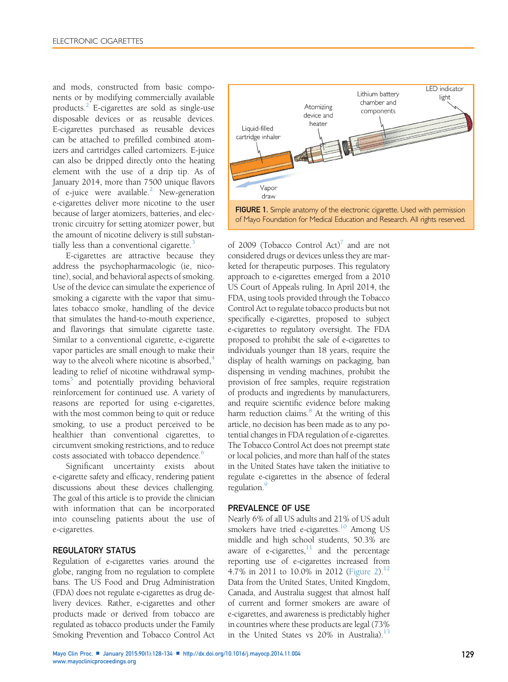<span id="page-1-0"></span>and mods, constructed from basic components or by modifying commercially available products.[2](#page-5-0) E-cigarettes are sold as single-use disposable devices or as reusable devices. E-cigarettes purchased as reusable devices can be attached to prefilled combined atomizers and cartridges called cartomizers. E-juice can also be dripped directly onto the heating element with the use of a drip tip. As of January 2014, more than 7500 unique flavors of e-juice were available.<sup>[2](#page-5-0)</sup> New-generation e-cigarettes deliver more nicotine to the user because of larger atomizers, batteries, and electronic circuitry for setting atomizer power, but the amount of nicotine delivery is still substantially less than a conventional cigarette. $3$ 

E-cigarettes are attractive because they address the psychopharmacologic (ie, nicotine), social, and behavioral aspects of smoking. Use of the device can simulate the experience of smoking a cigarette with the vapor that simulates tobacco smoke, handling of the device that simulates the hand-to-mouth experience, and flavorings that simulate cigarette taste. Similar to a conventional cigarette, e-cigarette vapor particles are small enough to make their way to the alveoli where nicotine is absorbed, $<sup>4</sup>$  $<sup>4</sup>$  $<sup>4</sup>$ </sup> leading to relief of nicotine withdrawal symp-toms<sup>[5](#page-5-0)</sup> and potentially providing behavioral reinforcement for continued use. A variety of reasons are reported for using e-cigarettes, with the most common being to quit or reduce smoking, to use a product perceived to be healthier than conventional cigarettes, to circumvent smoking restrictions, and to reduce costs associated with tobacco dependence.<sup>[6](#page-5-0)</sup>

Significant uncertainty exists about e-cigarette safety and efficacy, rendering patient discussions about these devices challenging. The goal of this article is to provide the clinician with information that can be incorporated into counseling patients about the use of e-cigarettes.

## REGULATORY STATUS

Regulation of e-cigarettes varies around the globe, ranging from no regulation to complete bans. The US Food and Drug Administration (FDA) does not regulate e-cigarettes as drug delivery devices. Rather, e-cigarettes and other products made or derived from tobacco are regulated as tobacco products under the Family Smoking Prevention and Tobacco Control Act



FIGURE 1. Simple anatomy of the electronic cigarette. Used with permission of Mayo Foundation for Medical Education and Research. All rights reserved.

of 2009 (Tobacco Control Act)<sup>[7](#page-5-0)</sup> and are not considered drugs or devices unless they are marketed for therapeutic purposes. This regulatory approach to e-cigarettes emerged from a 2010 US Court of Appeals ruling. In April 2014, the FDA, using tools provided through the Tobacco Control Act to regulate tobacco products but not specifically e-cigarettes, proposed to subject e-cigarettes to regulatory oversight. The FDA proposed to prohibit the sale of e-cigarettes to individuals younger than 18 years, require the display of health warnings on packaging, ban dispensing in vending machines, prohibit the provision of free samples, require registration of products and ingredients by manufacturers, and require scientific evidence before making harm reduction claims.<sup>8</sup> At the writing of this article, no decision has been made as to any potential changes in FDA regulation of e-cigarettes. The Tobacco Control Act does not preempt state or local policies, and more than half of the states in the United States have taken the initiative to regulate e-cigarettes in the absence of federal regulation.<sup>[9](#page-5-0)</sup>

## PREVALENCE OF USE

Nearly 6% of all US adults and 21% of US adult smokers have tried e-cigarettes.<sup>[10](#page-5-0)</sup> Among US middle and high school students, 50.3% are aware of e-cigarettes, $11$  and the percentage reporting use of e-cigarettes increased from 4.7% in 2011 to 10.0% in 2012 ([Figure 2](#page-2-0)).<sup>[12](#page-5-0)</sup> Data from the United States, United Kingdom, Canada, and Australia suggest that almost half of current and former smokers are aware of e-cigarettes, and awareness is predictably higher in countries where these products are legal (73% in the United States vs  $20\%$  in Australia).<sup>[13](#page-5-0)</sup>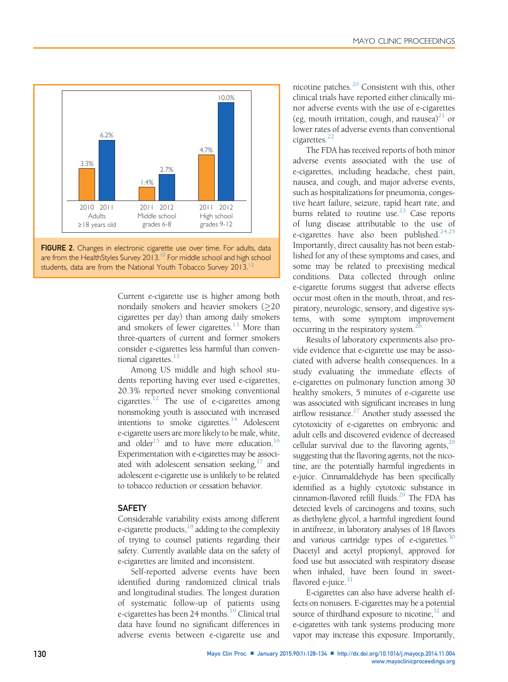<span id="page-2-0"></span>



Current e-cigarette use is higher among both nondaily smokers and heavier smokers (>20 cigarettes per day) than among daily smokers and smokers of fewer cigarettes.<sup>[13](#page-5-0)</sup> More than three-quarters of current and former smokers consider e-cigarettes less harmful than conventional cigarettes.<sup>13</sup>

Among US middle and high school students reporting having ever used e-cigarettes, 20.3% reported never smoking conventional cigarettes. $^{12}$  $^{12}$  $^{12}$  The use of e-cigarettes among nonsmoking youth is associated with increased intentions to smoke cigarettes. $14$  Adolescent e-cigarette users are more likely to be male, white, and older<sup>[15](#page-5-0)</sup> and to have more education.<sup>16</sup> Experimentation with e-cigarettes may be associated with adolescent sensation seeking, $17$  and adolescent e-cigarette use is unlikely to be related to tobacco reduction or cessation behavior.

## **SAFETY**

Considerable variability exists among different e-cigarette products, $^{18}$  $^{18}$  $^{18}$  adding to the complexity of trying to counsel patients regarding their safety. Currently available data on the safety of e-cigarettes are limited and inconsistent.

Self-reported adverse events have been identified during randomized clinical trials and longitudinal studies. The longest duration of systematic follow-up of patients using e-cigarettes has been 24 months.<sup>[19](#page-5-0)</sup> Clinical trial data have found no significant differences in adverse events between e-cigarette use and nicotine patches.[20](#page-5-0) Consistent with this, other clinical trials have reported either clinically minor adverse events with the use of e-cigarettes (eg, mouth irritation, cough, and nausea) $^{21}$  $^{21}$  $^{21}$  or lower rates of adverse events than conventional cigarettes.<sup>[22](#page-5-0)</sup>

The FDA has received reports of both minor adverse events associated with the use of e-cigarettes, including headache, chest pain, nausea, and cough, and major adverse events, such as hospitalizations for pneumonia, congestive heart failure, seizure, rapid heart rate, and burns related to routine use.<sup>[23](#page-5-0)</sup> Case reports of lung disease attributable to the use of e-cigarettes have also been published. $24,25$ Importantly, direct causality has not been established for any of these symptoms and cases, and some may be related to preexisting medical conditions. Data collected through online e-cigarette forums suggest that adverse effects occur most often in the mouth, throat, and respiratory, neurologic, sensory, and digestive systems, with some symptom improvement occurring in the respiratory system.<sup>[26](#page-5-0)</sup>

Results of laboratory experiments also provide evidence that e-cigarette use may be associated with adverse health consequences. In a study evaluating the immediate effects of e-cigarettes on pulmonary function among 30 healthy smokers, 5 minutes of e-cigarette use was associated with significant increases in lung airflow resistance. $27$  Another study assessed the cytotoxicity of e-cigarettes on embryonic and adult cells and discovered evidence of decreased cellular survival due to the flavoring agents,  $28$ suggesting that the flavoring agents, not the nicotine, are the potentially harmful ingredients in e-juice. Cinnamaldehyde has been specifically identified as a highly cytotoxic substance in cinnamon-flavored refill fluids.<sup>29</sup> The FDA has detected levels of carcinogens and toxins, such as diethylene glycol, a harmful ingredient found in antifreeze, in laboratory analyses of 18 flavors and various cartridge types of e-cigarettes. $30$ Diacetyl and acetyl propionyl, approved for food use but associated with respiratory disease when inhaled, have been found in sweetflavored e-juice.<sup>31</sup>

E-cigarettes can also have adverse health effects on nonusers. E-cigarettes may be a potential source of thirdhand exposure to nicotine, $32$  and e-cigarettes with tank systems producing more vapor may increase this exposure. Importantly,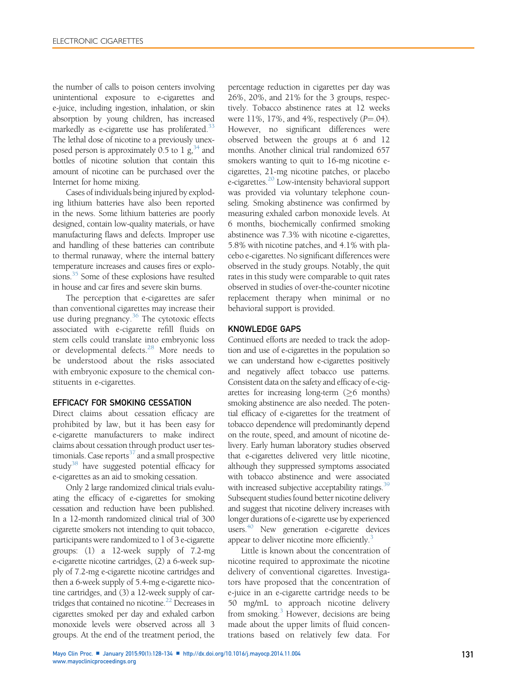the number of calls to poison centers involving unintentional exposure to e-cigarettes and e-juice, including ingestion, inhalation, or skin absorption by young children, has increased markedly as e-cigarette use has proliferated.<sup>33</sup> The lethal dose of nicotine to a previously unexposed person is approximately 0.5 to 1  $\mathrm{g}^{34}$  and bottles of nicotine solution that contain this amount of nicotine can be purchased over the Internet for home mixing.

Cases of individuals being injured by exploding lithium batteries have also been reported in the news. Some lithium batteries are poorly designed, contain low-quality materials, or have manufacturing flaws and defects. Improper use and handling of these batteries can contribute to thermal runaway, where the internal battery temperature increases and causes fires or explosions[.35](#page-6-0) Some of these explosions have resulted in house and car fires and severe skin burns.

The perception that e-cigarettes are safer than conventional cigarettes may increase their use during pregnancy.<sup>[36](#page-6-0)</sup> The cytotoxic effects associated with e-cigarette refill fluids on stem cells could translate into embryonic loss or developmental defects.[28](#page-5-0) More needs to be understood about the risks associated with embryonic exposure to the chemical constituents in e-cigarettes.

## EFFICACY FOR SMOKING CESSATION

Direct claims about cessation efficacy are prohibited by law, but it has been easy for e-cigarette manufacturers to make indirect claims about cessation through product user testimonials. Case reports $37$  and a small prospective study<sup>38</sup> have suggested potential efficacy for e-cigarettes as an aid to smoking cessation.

Only 2 large randomized clinical trials evaluating the efficacy of e-cigarettes for smoking cessation and reduction have been published. In a 12-month randomized clinical trial of 300 cigarette smokers not intending to quit tobacco, participants were randomized to 1 of 3 e-cigarette groups: (1) a 12-week supply of 7.2-mg e-cigarette nicotine cartridges, (2) a 6-week supply of 7.2-mg e-cigarette nicotine cartridges and then a 6-week supply of 5.4-mg e-cigarette nicotine cartridges, and (3) a 12-week supply of car-tridges that contained no nicotine.<sup>[22](#page-5-0)</sup> Decreases in cigarettes smoked per day and exhaled carbon monoxide levels were observed across all 3 groups. At the end of the treatment period, the

percentage reduction in cigarettes per day was 26%, 20%, and 21% for the 3 groups, respectively. Tobacco abstinence rates at 12 weeks were  $11\%$ , 17%, and 4%, respectively ( $P = .04$ ). However, no significant differences were observed between the groups at 6 and 12 months. Another clinical trial randomized 657 smokers wanting to quit to 16-mg nicotine ecigarettes, 21-mg nicotine patches, or placebo e-cigarettes.<sup>[20](#page-5-0)</sup> Low-intensity behavioral support was provided via voluntary telephone counseling. Smoking abstinence was confirmed by measuring exhaled carbon monoxide levels. At 6 months, biochemically confirmed smoking abstinence was 7.3% with nicotine e-cigarettes, 5.8% with nicotine patches, and 4.1% with placebo e-cigarettes. No significant differences were observed in the study groups. Notably, the quit rates in this study were comparable to quit rates observed in studies of over-the-counter nicotine replacement therapy when minimal or no behavioral support is provided.

## KNOWLEDGE GAPS

Continued efforts are needed to track the adoption and use of e-cigarettes in the population so we can understand how e-cigarettes positively and negatively affect tobacco use patterns. Consistent data on the safety and efficacy of e-cigarettes for increasing long-term  $(≥6$  months) smoking abstinence are also needed. The potential efficacy of e-cigarettes for the treatment of tobacco dependence will predominantly depend on the route, speed, and amount of nicotine delivery. Early human laboratory studies observed that e-cigarettes delivered very little nicotine, although they suppressed symptoms associated with tobacco abstinence and were associated with increased subjective acceptability ratings.<sup>39</sup> Subsequent studies found better nicotine delivery and suggest that nicotine delivery increases with longer durations of e-cigarette use by experienced users.<sup>40</sup> New generation e-cigarette devices appear to deliver nicotine more efficiently.<sup>[3](#page-5-0)</sup>

Little is known about the concentration of nicotine required to approximate the nicotine delivery of conventional cigarettes. Investigators have proposed that the concentration of e-juice in an e-cigarette cartridge needs to be 50 mg/mL to approach nicotine delivery from smoking.<sup>[3](#page-5-0)</sup> However, decisions are being made about the upper limits of fluid concentrations based on relatively few data. For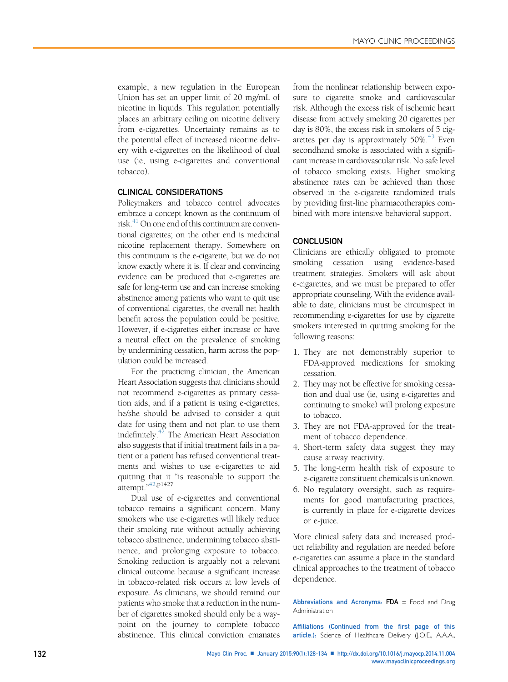example, a new regulation in the European Union has set an upper limit of 20 mg/mL of nicotine in liquids. This regulation potentially places an arbitrary ceiling on nicotine delivery from e-cigarettes. Uncertainty remains as to the potential effect of increased nicotine delivery with e-cigarettes on the likelihood of dual use (ie, using e-cigarettes and conventional tobacco).

## CLINICAL CONSIDERATIONS

Policymakers and tobacco control advocates embrace a concept known as the continuum of risk.<sup>41</sup> On one end of this continuum are conventional cigarettes; on the other end is medicinal nicotine replacement therapy. Somewhere on this continuum is the e-cigarette, but we do not know exactly where it is. If clear and convincing evidence can be produced that e-cigarettes are safe for long-term use and can increase smoking abstinence among patients who want to quit use of conventional cigarettes, the overall net health benefit across the population could be positive. However, if e-cigarettes either increase or have a neutral effect on the prevalence of smoking by undermining cessation, harm across the population could be increased.

For the practicing clinician, the American Heart Association suggests that clinicians should not recommend e-cigarettes as primary cessation aids, and if a patient is using e-cigarettes, he/she should be advised to consider a quit date for using them and not plan to use them indefinitely.<sup>42</sup> The American Heart Association also suggests that if initial treatment fails in a patient or a patient has refused conventional treatments and wishes to use e-cigarettes to aid quitting that it "is reasonable to support the attempt." [42](#page-6-0),p1427

Dual use of e-cigarettes and conventional tobacco remains a significant concern. Many smokers who use e-cigarettes will likely reduce their smoking rate without actually achieving tobacco abstinence, undermining tobacco abstinence, and prolonging exposure to tobacco. Smoking reduction is arguably not a relevant clinical outcome because a significant increase in tobacco-related risk occurs at low levels of exposure. As clinicians, we should remind our patients who smoke that a reduction in the number of cigarettes smoked should only be a waypoint on the journey to complete tobacco abstinence. This clinical conviction emanates from the nonlinear relationship between exposure to cigarette smoke and cardiovascular risk. Although the excess risk of ischemic heart disease from actively smoking 20 cigarettes per day is 80%, the excess risk in smokers of 5 cigarettes per day is approximately  $50\%$ .<sup>43</sup> Even secondhand smoke is associated with a significant increase in cardiovascular risk. No safe level of tobacco smoking exists. Higher smoking abstinence rates can be achieved than those observed in the e-cigarette randomized trials by providing first-line pharmacotherapies combined with more intensive behavioral support.

## **CONCLUSION**

Clinicians are ethically obligated to promote smoking cessation using evidence-based treatment strategies. Smokers will ask about e-cigarettes, and we must be prepared to offer appropriate counseling. With the evidence available to date, clinicians must be circumspect in recommending e-cigarettes for use by cigarette smokers interested in quitting smoking for the following reasons:

- 1. They are not demonstrably superior to FDA-approved medications for smoking cessation.
- 2. They may not be effective for smoking cessation and dual use (ie, using e-cigarettes and continuing to smoke) will prolong exposure to tobacco.
- 3. They are not FDA-approved for the treatment of tobacco dependence.
- 4. Short-term safety data suggest they may cause airway reactivity.
- 5. The long-term health risk of exposure to e-cigarette constituent chemicals is unknown.
- 6. No regulatory oversight, such as requirements for good manufacturing practices, is currently in place for e-cigarette devices or e-juice.

More clinical safety data and increased product reliability and regulation are needed before e-cigarettes can assume a place in the standard clinical approaches to the treatment of tobacco dependence.

Abbreviations and Acronyms: FDA = Food and Drug Administration

Affiliations (Continued from the first page of this article.): Science of Healthcare Delivery (J.O.E., A.A.A.,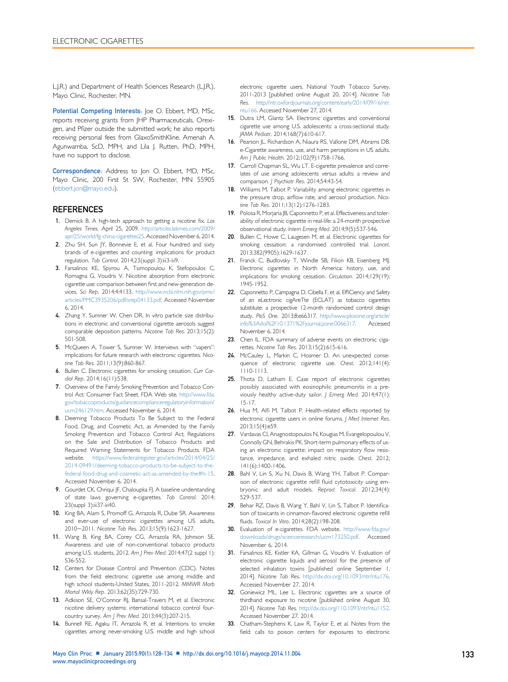<span id="page-5-0"></span>L.J.R.) and Department of Health Sciences Research (L.J.R.), Mayo Clinic, Rochester, MN.

Potential Competing Interests: Joe O. Ebbert, MD, MSc, reports receiving grants from JHP Pharmaceuticals, Orexigen, and Pfizer outside the submitted work; he also reports receiving personal fees from GlaxoSmithKline. Amenah A. Agunwamba, ScD, MPH, and Lila J. Rutten, PhD, MPH, have no support to disclose.

Correspondence: Address to Jon O. Ebbert, MD, MSc, Mayo Clinic, 200 First St SW, Rochester, MN 55905 [\(ebbert.jon@mayo.edu\)](mailto:ebbert.jon@mayo.edu).

#### **REFERENCES**

- 1. Demick B. A high-tech approach to getting a nicotine fix. Los Angeles Times. April 25, 2009. [http://articles.latimes.com/2009/](http://articles.latimes.com/2009/apr/25/world/fg-china-cigarettes25) [apr/25/world/fg-china-cigarettes25.](http://articles.latimes.com/2009/apr/25/world/fg-china-cigarettes25) Accessed November 6, 2014.
- 2. Zhu SH, Sun JY, Bonnevie E, et al. Four hundred and sixty brands of e-cigarettes and counting: implications for product regulation. Tob Control. 2014;23(suppl 3):iii3-iii9.
- 3. Farsalinos KE, Spyrou A, Tsimopoulou K, Stefopoulos C, Romagna G, Voudris V. Nicotine absorption from electronic cigarette use: comparison between first and new-generation devices. Sci Rep. 2014;4:4133. [http://www.ncbi.nlm.nih.gov/pmc/](http://www.ncbi.nlm.nih.gov/pmc/articles/PMC3935206/pdf/srep04133.pdf) [articles/PMC3935206/pdf/srep04133.pdf](http://www.ncbi.nlm.nih.gov/pmc/articles/PMC3935206/pdf/srep04133.pdf). Accessed November 6, 2014.
- 4. Zhang Y, Sumner W, Chen DR. In vitro particle size distributions in electronic and conventional cigarette aerosols suggest comparable deposition patterns. Nicotine Tob Res. 2013;15(2): 501-508.
- 5. McQueen A, Tower S, Sumner W. Interviews with "vapers": implications for future research with electronic cigarettes. Nicotine Tob Res. 2011;13(9):860-867.
- 6. Bullen C. Electronic cigarettes for smoking cessation. Curr Cardiol Rep. 2014;16(11):538.
- 7. Overview of the Family Smoking Prevention and Tobacco Control Act: Consumer Fact Sheet. FDA Web site. [http://www.fda.](http://www.fda.gov/tobaccoproducts/guidancecomplianceregulatoryinformation/ucm246129.htm) [gov/tobaccoproducts/guidancecomplianceregulatoryinformation/](http://www.fda.gov/tobaccoproducts/guidancecomplianceregulatoryinformation/ucm246129.htm) [ucm246129.htm](http://www.fda.gov/tobaccoproducts/guidancecomplianceregulatoryinformation/ucm246129.htm). Accessed November 6, 2014.
- 8. Deeming Tobacco Products To Be Subject to the Federal Food, Drug, and Cosmetic Act, as Amended by the Family Smoking Prevention and Tobacco Control Act; Regulations on the Sale and Distribution of Tobacco Products and Required Warning Statements for Tobacco Products. FDA website. [https://www.federalregister.gov/articles/2014/04/25/](https://www.federalregister.gov/articles/2014/04/25/2014-09491/deeming-tobacco-products-to-be-subject-to-the-federal-food-drug-and-cosmetic-act-as-amended-by-the#h-15) [2014-09491/deeming-tobacco-products-to-be-subject-to-the](https://www.federalregister.gov/articles/2014/04/25/2014-09491/deeming-tobacco-products-to-be-subject-to-the-federal-food-drug-and-cosmetic-act-as-amended-by-the#h-15)[federal-food-drug-and-cosmetic-act-as-amended-by-the#h-15](https://www.federalregister.gov/articles/2014/04/25/2014-09491/deeming-tobacco-products-to-be-subject-to-the-federal-food-drug-and-cosmetic-act-as-amended-by-the#h-15). Accessed November 6, 2014.
- 9. Gourdet CK, Chriqui JF, Chaloupka FJ. A baseline understanding of state laws governing e-cigarettes. Tob Control. 2014; 23(suppl 3):iii37-iii40.
- 10. King BA, Alam S, Promoff G, Arrazola R, Dube SR. Awareness and ever-use of electronic cigarettes among US adults, 2010e2011. Nicotine Tob Res. 2013;15(9):1623-1627.
- 11. Wang B, King BA, Corey CG, Arrazola RA, Johnson SE. Awareness and use of non-conventional tobacco products among U.S. students, 2012. Am J Prev Med. 2014;47(2 suppl 1): S36-S52.
- 12. Centers for Disease Control and Prevention (CDC). Notes from the field: electronic cigarette use among middle and high school students-United States, 2011-2012. MMWR Morb Mortal Wkly Rep. 2013;62(35):729-730.
- 13. Adkison SE, O'Connor RJ, Bansal-Travers M, et al. Electronic nicotine delivery systems: international tobacco control fourcountry survey. Am J Prev Med. 2013;44(3):207-215.
- 14. Bunnell RE, Agaku IT, Arrazola R, et al. Intentions to smoke cigarettes among never-smoking U.S. middle and high school

electronic cigarette users, National Youth Tobacco Survey, 2011-2013 [published online August 20, 2014]. Nicotine Tob Res. [http://ntr.oxfordjournals.org/content/early/2014/09/16/ntr.](http://ntr.oxfordjournals.org/content/early/2014/09/16/ntr.ntu166) [ntu166](http://ntr.oxfordjournals.org/content/early/2014/09/16/ntr.ntu166). Accessed November 27, 2014.

- 15. Dutra LM, Glantz SA. Electronic cigarettes and conventional cigarette use among U.S. adolescents: a cross-sectional study. JAMA Pediatr. 2014;168(7):610-617.
- 16. Pearson JL, Richardson A, Niaura RS, Vallone DM, Abrams DB. e-Cigarette awareness, use, and harm perceptions in US adults. Am J Public Health. 2012;102(9):1758-1766.
- 17. Carroll Chapman SL, Wu LT. E-cigarette prevalence and correlates of use among adolescents versus adults: a review and comparison. J Psychiatr Res. 2014;54:43-54.
- 18. Williams M, Talbot P. Variability among electronic cigarettes in the pressure drop, airflow rate, and aerosol production. Nicotine Tob Res. 2011;13(12):1276-1283.
- 19. Polosa R, Morjaria JB, Caponnetto P, et al. Effectiveness and tolerability of electronic cigarette in real-life: a 24-month prospective observational study. Intern Emerg Med. 2014;9(5):537-546.
- 20. Bullen C, Howe C, Laugesen M, et al. Electronic cigarettes for smoking cessation: a randomised controlled trial. Lancet. 2013;382(9905):1629-1637.
- 21. Franck C, Budlovsky T, Windle SB, Filion KB, Eisenberg MJ. Electronic cigarettes in North America: history, use, and implications for smoking cessation. Circulation. 2014;129(19): 1945-1952.
- 22. Caponnetto P, Campagna D, Cibella F, et al. EffiCiency and Safety of an eLectronic cigAreTte (ECLAT) as tobacco cigarettes substitute: a prospective 12-month randomized control design study. PloS One. 2013;8:e66317. [http://www.plosone.org/article/](http://www.plosone.org/article/info%3Adoi%2F10.1371%2Fjournal.pone.0066317) [info%3Adoi%2F10.1371%2Fjournal.pone.0066317.](http://www.plosone.org/article/info%3Adoi%2F10.1371%2Fjournal.pone.0066317) Accessed November 6, 2014.
- 23. Chen IL. FDA summary of adverse events on electronic cigarettes. Nicotine Tob Res. 2013;15(2):615-616.
- 24. McCauley L, Markin C, Hosmer D. An unexpected consequence of electronic cigarette use. Chest. 2012;141(4): 1110-1113.
- 25. Thota D, Latham E. Case report of electronic cigarettes possibly associated with eosinophilic pneumonitis in a previously healthy active-duty sailor. J Emerg Med. 2014;47(1): 15-17.
- 26. Hua M, Alfi M, Talbot P. Health-related effects reported by electronic cigarette users in online forums. J Med Internet Res. 2013;15(4):e59.
- 27. Vardavas CI, Anagnostopoulos N, Kougias M, Evangelopoulou V, Connolly GN, Behrakis PK. Short-term pulmonary effects of using an electronic cigarette: impact on respiratory flow resistance, impedance, and exhaled nitric oxide. Chest. 2012; 141(6):1400-1406.
- 28. Bahl V, Lin S, Xu N, Davis B, Wang YH, Talbot P. Comparison of electronic cigarette refill fluid cytotoxicity using embryonic and adult models. Reprod Toxicol. 2012;34(4): 529-537.
- 29. Behar RZ, Davis B, Wang Y, Bahl V, Lin S, Talbot P. Identification of toxicants in cinnamon-flavored electronic cigarette refill fluids. Toxicol In Vitro. 2014;28(2):198-208.
- 30. Evaluation of e-cigarettes. FDA website. [http://www.fda.gov/](http://www.fda.gov/downloads/drugs/scienceresearch/ucm173250.pdf) [downloads/drugs/scienceresearch/ucm173250.pdf.](http://www.fda.gov/downloads/drugs/scienceresearch/ucm173250.pdf) Accessed November 6, 2014.
- 31. Farsalinos KE, Kistler KA, Gillman G, Voudris V. Evaluation of electronic cigarette liquids and aerosol for the presence of selected inhalation toxins [published online September 1, 2014]. Nicotine Tob Res. <http://dx.doi.org/10.1093/ntr/ntu176>. Accessed November 27, 2014.
- 32. Goniewicz ML, Lee L. Electronic cigarettes are a source of thirdhand exposure to nicotine [published online August 30, 2014]. Nicotine Tob Res. <http://dx.doi.org/110.1093/ntr/ntu1152>. Accessed November 27, 2014.
- 33. Chatham-Stephens K, Law R. Taylor F, et al. Notes from the field: calls to poison centers for exposures to electronic